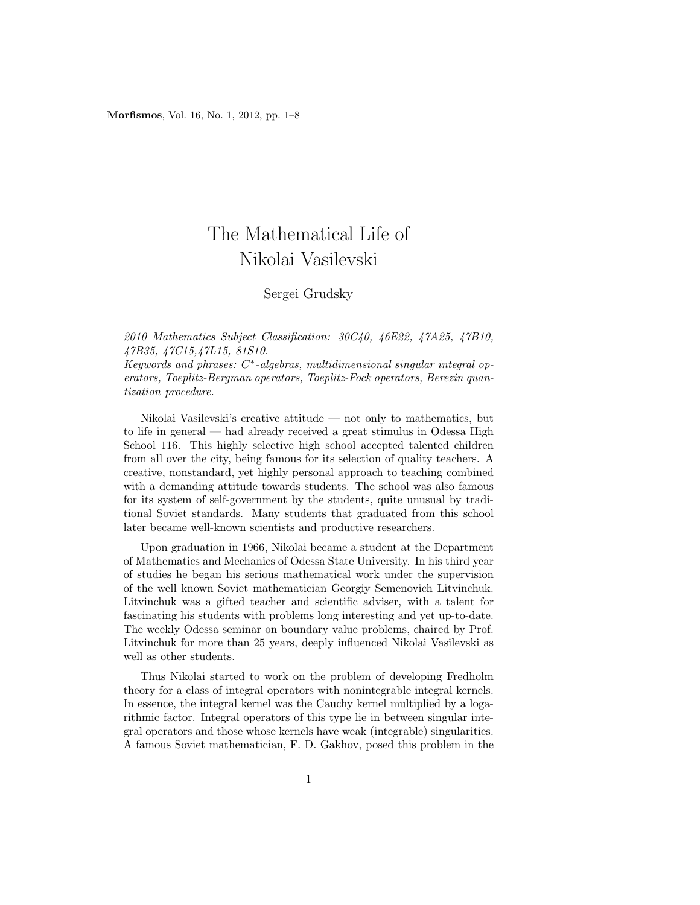# The Mathematical Life of Nikolai Vasilevski

## Sergei Grudsky

2010 Mathematics Subject Classification: 30C40, 46E22, 47A25, 47B10, 47B35, 47C15,47L15, 81S10.

Keywords and phrases: C<sup>\*</sup>-algebras, multidimensional singular integral operators, Toeplitz-Bergman operators, Toeplitz-Fock operators, Berezin quantization procedure.

Nikolai Vasilevski's creative attitude — not only to mathematics, but to life in general — had already received a great stimulus in Odessa High School 116. This highly selective high school accepted talented children from all over the city, being famous for its selection of quality teachers. A creative, nonstandard, yet highly personal approach to teaching combined with a demanding attitude towards students. The school was also famous for its system of self-government by the students, quite unusual by traditional Soviet standards. Many students that graduated from this school later became well-known scientists and productive researchers.

Upon graduation in 1966, Nikolai became a student at the Department of Mathematics and Mechanics of Odessa State University. In his third year of studies he began his serious mathematical work under the supervision of the well known Soviet mathematician Georgiy Semenovich Litvinchuk. Litvinchuk was a gifted teacher and scientific adviser, with a talent for fascinating his students with problems long interesting and yet up-to-date. The weekly Odessa seminar on boundary value problems, chaired by Prof. Litvinchuk for more than 25 years, deeply influenced Nikolai Vasilevski as well as other students.

Thus Nikolai started to work on the problem of developing Fredholm theory for a class of integral operators with nonintegrable integral kernels. In essence, the integral kernel was the Cauchy kernel multiplied by a logarithmic factor. Integral operators of this type lie in between singular integral operators and those whose kernels have weak (integrable) singularities. A famous Soviet mathematician, F. D. Gakhov, posed this problem in the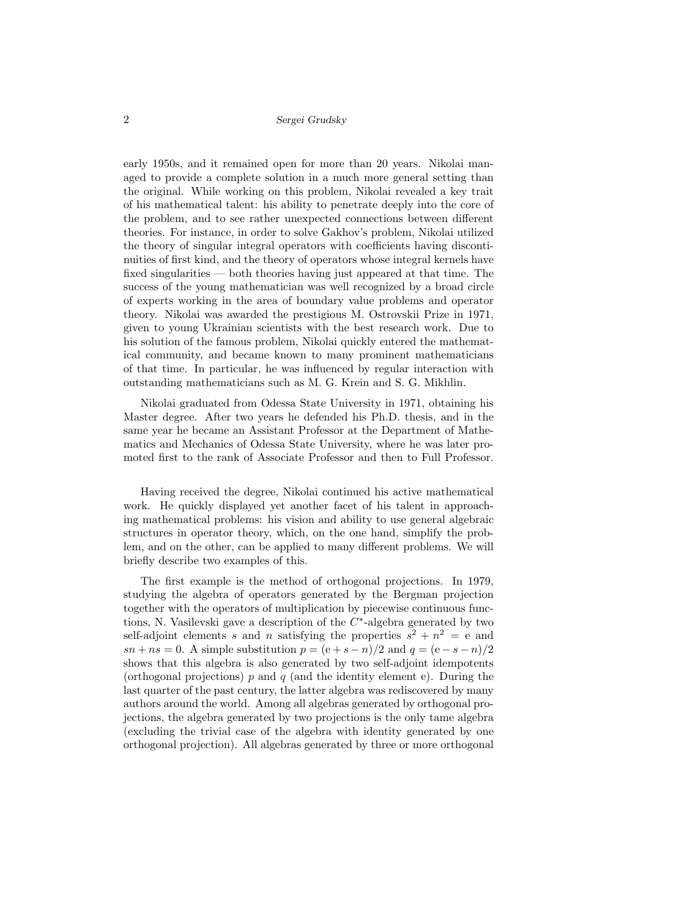early 1950s, and it remained open for more than 20 years. Nikolai managed to provide a complete solution in a much more general setting than the original. While working on this problem, Nikolai revealed a key trait of his mathematical talent: his ability to penetrate deeply into the core of the problem, and to see rather unexpected connections between different theories. For instance, in order to solve Gakhov's problem, Nikolai utilized the theory of singular integral operators with coefficients having discontinuities of first kind, and the theory of operators whose integral kernels have fixed singularities — both theories having just appeared at that time. The success of the young mathematician was well recognized by a broad circle of experts working in the area of boundary value problems and operator theory. Nikolai was awarded the prestigious M. Ostrovskii Prize in 1971, given to young Ukrainian scientists with the best research work. Due to his solution of the famous problem, Nikolai quickly entered the mathematical community, and became known to many prominent mathematicians of that time. In particular, he was influenced by regular interaction with outstanding mathematicians such as M. G. Krein and S. G. Mikhlin.

Nikolai graduated from Odessa State University in 1971, obtaining his Master degree. After two years he defended his Ph.D. thesis, and in the same year he became an Assistant Professor at the Department of Mathematics and Mechanics of Odessa State University, where he was later promoted first to the rank of Associate Professor and then to Full Professor.

Having received the degree, Nikolai continued his active mathematical work. He quickly displayed yet another facet of his talent in approaching mathematical problems: his vision and ability to use general algebraic structures in operator theory, which, on the one hand, simplify the problem, and on the other, can be applied to many different problems. We will briefly describe two examples of this.

The first example is the method of orthogonal projections. In 1979, studying the algebra of operators generated by the Bergman projection together with the operators of multiplication by piecewise continuous functions, N. Vasilevski gave a description of the  $C^*$ -algebra generated by two self-adjoint elements s and n satisfying the properties  $s^2 + n^2 = e$  and  $sn + ns = 0$ . A simple substitution  $p = (e + s - n)/2$  and  $q = (e - s - n)/2$ shows that this algebra is also generated by two self-adjoint idempotents (orthogonal projections)  $p$  and  $q$  (and the identity element e). During the last quarter of the past century, the latter algebra was rediscovered by many authors around the world. Among all algebras generated by orthogonal projections, the algebra generated by two projections is the only tame algebra (excluding the trivial case of the algebra with identity generated by one orthogonal projection). All algebras generated by three or more orthogonal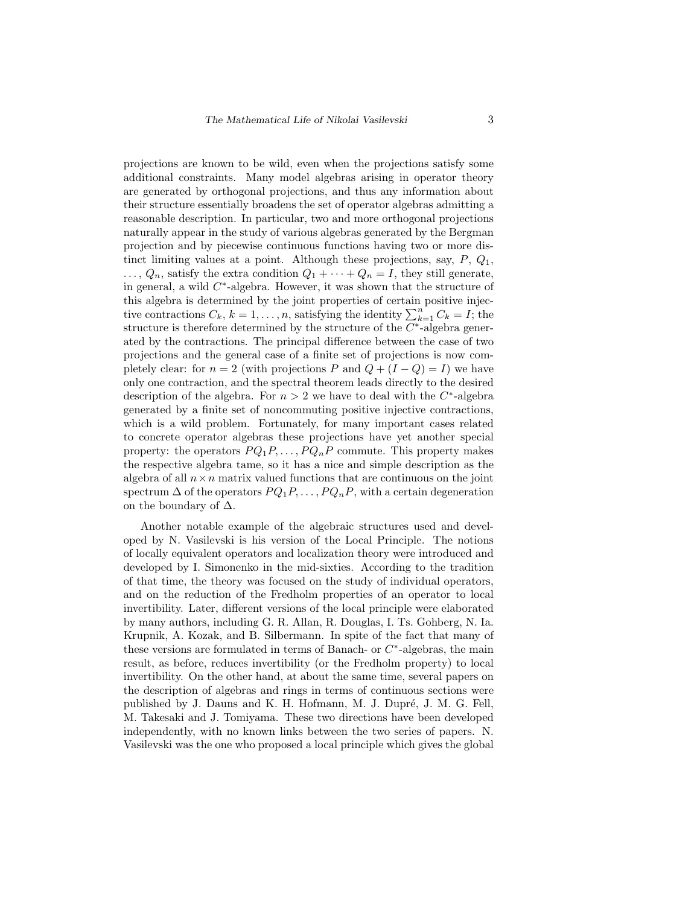projections are known to be wild, even when the projections satisfy some additional constraints. Many model algebras arising in operator theory are generated by orthogonal projections, and thus any information about their structure essentially broadens the set of operator algebras admitting a reasonable description. In particular, two and more orthogonal projections naturally appear in the study of various algebras generated by the Bergman projection and by piecewise continuous functions having two or more distinct limiting values at a point. Although these projections, say,  $P$ ,  $Q_1$ ,  $\ldots, Q_n$ , satisfy the extra condition  $Q_1 + \cdots + Q_n = I$ , they still generate, in general, a wild  $C^*$ -algebra. However, it was shown that the structure of this algebra is determined by the joint properties of certain positive injective contractions  $C_k$ ,  $k = 1, ..., n$ , satisfying the identity  $\sum_{k=1}^{n} C_k = I$ ; the structure is therefore determined by the structure of the  $C^*$ -algebra generated by the contractions. The principal difference between the case of two projections and the general case of a finite set of projections is now completely clear: for  $n = 2$  (with projections P and  $Q + (I - Q) = I$ ) we have only one contraction, and the spectral theorem leads directly to the desired description of the algebra. For  $n > 2$  we have to deal with the  $C^*$ -algebra generated by a finite set of noncommuting positive injective contractions, which is a wild problem. Fortunately, for many important cases related to concrete operator algebras these projections have yet another special property: the operators  $PQ_1P, \ldots, PQ_nP$  commute. This property makes the respective algebra tame, so it has a nice and simple description as the algebra of all  $n \times n$  matrix valued functions that are continuous on the joint spectrum  $\Delta$  of the operators  $PQ_1P, \ldots, PQ_nP$ , with a certain degeneration on the boundary of  $\Delta$ .

Another notable example of the algebraic structures used and developed by N. Vasilevski is his version of the Local Principle. The notions of locally equivalent operators and localization theory were introduced and developed by I. Simonenko in the mid-sixties. According to the tradition of that time, the theory was focused on the study of individual operators, and on the reduction of the Fredholm properties of an operator to local invertibility. Later, different versions of the local principle were elaborated by many authors, including G. R. Allan, R. Douglas, I. Ts. Gohberg, N. Ia. Krupnik, A. Kozak, and B. Silbermann. In spite of the fact that many of these versions are formulated in terms of Banach- or  $C^*$ -algebras, the main result, as before, reduces invertibility (or the Fredholm property) to local invertibility. On the other hand, at about the same time, several papers on the description of algebras and rings in terms of continuous sections were published by J. Dauns and K. H. Hofmann, M. J. Dupré, J. M. G. Fell, M. Takesaki and J. Tomiyama. These two directions have been developed independently, with no known links between the two series of papers. N. Vasilevski was the one who proposed a local principle which gives the global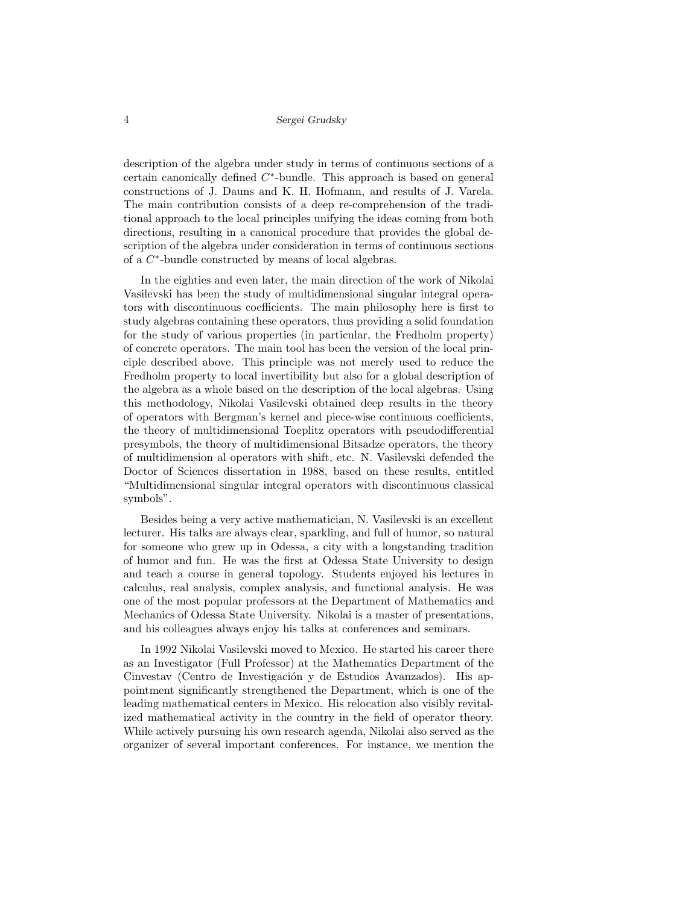description of the algebra under study in terms of continuous sections of a certain canonically defined C ∗ -bundle. This approach is based on general constructions of J. Dauns and K. H. Hofmann, and results of J. Varela. The main contribution consists of a deep re-comprehension of the traditional approach to the local principles unifying the ideas coming from both directions, resulting in a canonical procedure that provides the global description of the algebra under consideration in terms of continuous sections of a C ∗ -bundle constructed by means of local algebras.

In the eighties and even later, the main direction of the work of Nikolai Vasilevski has been the study of multidimensional singular integral operators with discontinuous coefficients. The main philosophy here is first to study algebras containing these operators, thus providing a solid foundation for the study of various properties (in particular, the Fredholm property) of concrete operators. The main tool has been the version of the local principle described above. This principle was not merely used to reduce the Fredholm property to local invertibility but also for a global description of the algebra as a whole based on the description of the local algebras. Using this methodology, Nikolai Vasilevski obtained deep results in the theory of operators with Bergman's kernel and piece-wise continuous coefficients, the theory of multidimensional Toeplitz operators with pseudodifferential presymbols, the theory of multidimensional Bitsadze operators, the theory of multidimension al operators with shift, etc. N. Vasilevski defended the Doctor of Sciences dissertation in 1988, based on these results, entitled "Multidimensional singular integral operators with discontinuous classical symbols".

Besides being a very active mathematician, N. Vasilevski is an excellent lecturer. His talks are always clear, sparkling, and full of humor, so natural for someone who grew up in Odessa, a city with a longstanding tradition of humor and fun. He was the first at Odessa State University to design and teach a course in general topology. Students enjoyed his lectures in calculus, real analysis, complex analysis, and functional analysis. He was one of the most popular professors at the Department of Mathematics and Mechanics of Odessa State University. Nikolai is a master of presentations, and his colleagues always enjoy his talks at conferences and seminars.

In 1992 Nikolai Vasilevski moved to Mexico. He started his career there as an Investigator (Full Professor) at the Mathematics Department of the Cinvestav (Centro de Investigación y de Estudios Avanzados). His appointment significantly strengthened the Department, which is one of the leading mathematical centers in Mexico. His relocation also visibly revitalized mathematical activity in the country in the field of operator theory. While actively pursuing his own research agenda, Nikolai also served as the organizer of several important conferences. For instance, we mention the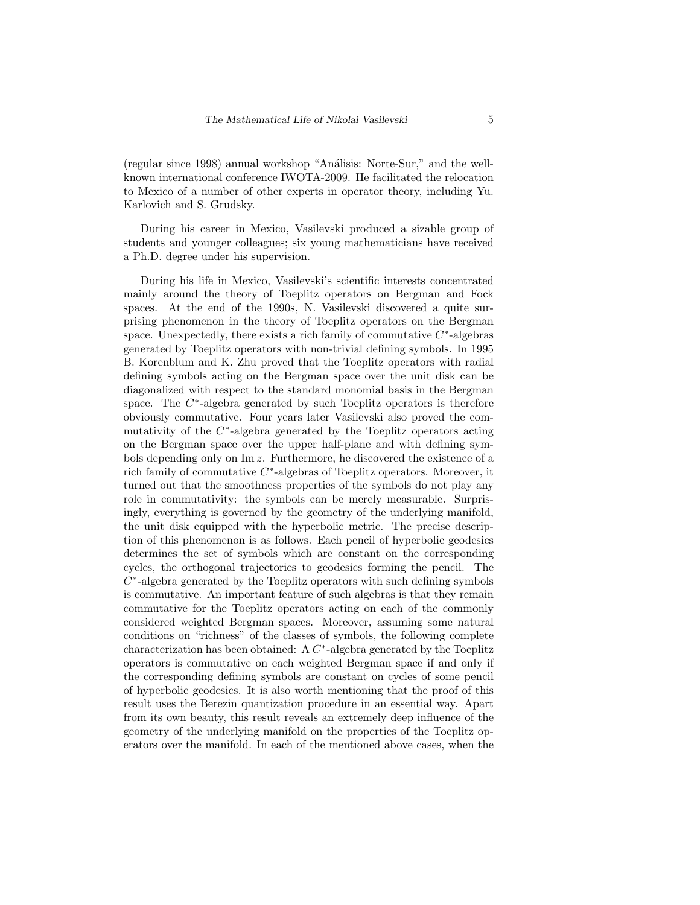(regular since 1998) annual workshop "Análisis: Norte-Sur," and the wellknown international conference IWOTA-2009. He facilitated the relocation to Mexico of a number of other experts in operator theory, including Yu. Karlovich and S. Grudsky.

During his career in Mexico, Vasilevski produced a sizable group of students and younger colleagues; six young mathematicians have received a Ph.D. degree under his supervision.

During his life in Mexico, Vasilevski's scientific interests concentrated mainly around the theory of Toeplitz operators on Bergman and Fock spaces. At the end of the 1990s, N. Vasilevski discovered a quite surprising phenomenon in the theory of Toeplitz operators on the Bergman space. Unexpectedly, there exists a rich family of commutative  $C^*$ -algebras generated by Toeplitz operators with non-trivial defining symbols. In 1995 B. Korenblum and K. Zhu proved that the Toeplitz operators with radial defining symbols acting on the Bergman space over the unit disk can be diagonalized with respect to the standard monomial basis in the Bergman space. The  $C^*$ -algebra generated by such Toeplitz operators is therefore obviously commutative. Four years later Vasilevski also proved the commutativity of the  $C^*$ -algebra generated by the Toeplitz operators acting on the Bergman space over the upper half-plane and with defining symbols depending only on Im z. Furthermore, he discovered the existence of a rich family of commutative  $C^*$ -algebras of Toeplitz operators. Moreover, it turned out that the smoothness properties of the symbols do not play any role in commutativity: the symbols can be merely measurable. Surprisingly, everything is governed by the geometry of the underlying manifold, the unit disk equipped with the hyperbolic metric. The precise description of this phenomenon is as follows. Each pencil of hyperbolic geodesics determines the set of symbols which are constant on the corresponding cycles, the orthogonal trajectories to geodesics forming the pencil. The  $C^*$ -algebra generated by the Toeplitz operators with such defining symbols is commutative. An important feature of such algebras is that they remain commutative for the Toeplitz operators acting on each of the commonly considered weighted Bergman spaces. Moreover, assuming some natural conditions on "richness" of the classes of symbols, the following complete characterization has been obtained: A  $C^*$ -algebra generated by the Toeplitz operators is commutative on each weighted Bergman space if and only if the corresponding defining symbols are constant on cycles of some pencil of hyperbolic geodesics. It is also worth mentioning that the proof of this result uses the Berezin quantization procedure in an essential way. Apart from its own beauty, this result reveals an extremely deep influence of the geometry of the underlying manifold on the properties of the Toeplitz operators over the manifold. In each of the mentioned above cases, when the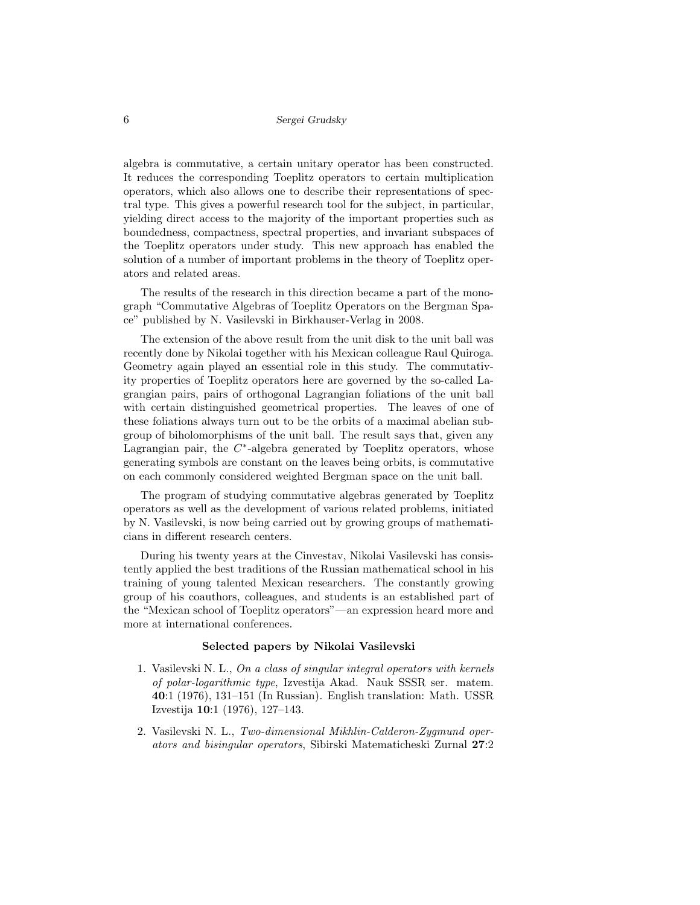algebra is commutative, a certain unitary operator has been constructed. It reduces the corresponding Toeplitz operators to certain multiplication operators, which also allows one to describe their representations of spectral type. This gives a powerful research tool for the subject, in particular, yielding direct access to the majority of the important properties such as boundedness, compactness, spectral properties, and invariant subspaces of the Toeplitz operators under study. This new approach has enabled the solution of a number of important problems in the theory of Toeplitz operators and related areas.

The results of the research in this direction became a part of the monograph "Commutative Algebras of Toeplitz Operators on the Bergman Space" published by N. Vasilevski in Birkhauser-Verlag in 2008.

The extension of the above result from the unit disk to the unit ball was recently done by Nikolai together with his Mexican colleague Raul Quiroga. Geometry again played an essential role in this study. The commutativity properties of Toeplitz operators here are governed by the so-called Lagrangian pairs, pairs of orthogonal Lagrangian foliations of the unit ball with certain distinguished geometrical properties. The leaves of one of these foliations always turn out to be the orbits of a maximal abelian subgroup of biholomorphisms of the unit ball. The result says that, given any Lagrangian pair, the  $C^*$ -algebra generated by Toeplitz operators, whose generating symbols are constant on the leaves being orbits, is commutative on each commonly considered weighted Bergman space on the unit ball.

The program of studying commutative algebras generated by Toeplitz operators as well as the development of various related problems, initiated by N. Vasilevski, is now being carried out by growing groups of mathematicians in different research centers.

During his twenty years at the Cinvestav, Nikolai Vasilevski has consistently applied the best traditions of the Russian mathematical school in his training of young talented Mexican researchers. The constantly growing group of his coauthors, colleagues, and students is an established part of the "Mexican school of Toeplitz operators"—an expression heard more and more at international conferences.

#### Selected papers by Nikolai Vasilevski

- 1. Vasilevski N. L., On a class of singular integral operators with kernels of polar-logarithmic type, Izvestija Akad. Nauk SSSR ser. matem. 40:1 (1976), 131–151 (In Russian). English translation: Math. USSR Izvestija 10:1 (1976), 127–143.
- 2. Vasilevski N. L., Two-dimensional Mikhlin-Calderon-Zygmund operators and bisingular operators, Sibirski Matematicheski Zurnal 27:2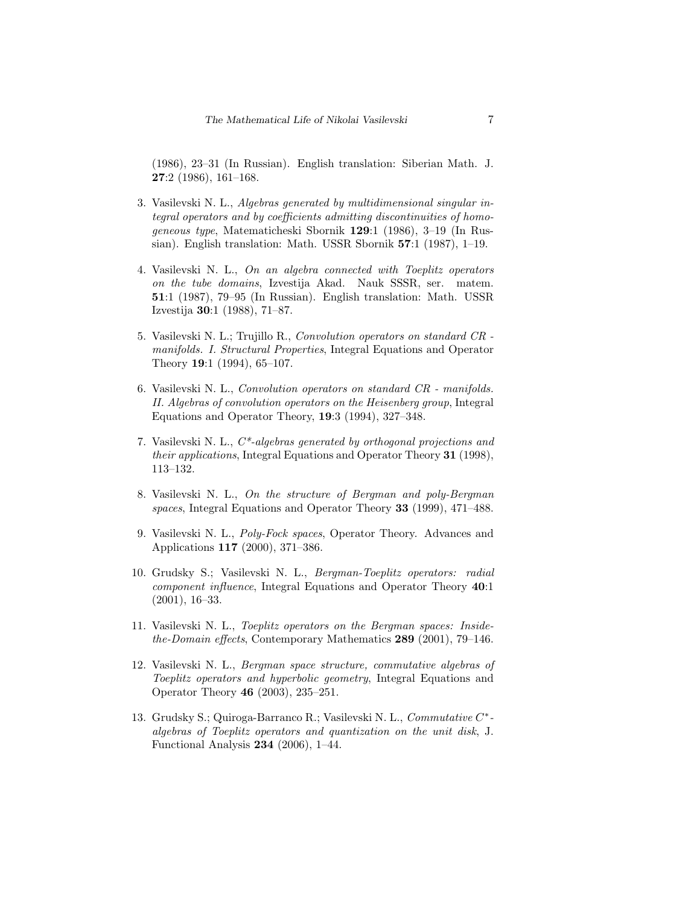(1986), 23–31 (In Russian). English translation: Siberian Math. J. 27:2 (1986), 161–168.

- 3. Vasilevski N. L., Algebras generated by multidimensional singular integral operators and by coefficients admitting discontinuities of homogeneous type, Matematicheski Sbornik 129:1 (1986), 3–19 (In Russian). English translation: Math. USSR Sbornik 57:1 (1987), 1–19.
- 4. Vasilevski N. L., On an algebra connected with Toeplitz operators on the tube domains, Izvestija Akad. Nauk SSSR, ser. matem. 51:1 (1987), 79–95 (In Russian). English translation: Math. USSR Izvestija 30:1 (1988), 71–87.
- 5. Vasilevski N. L.; Trujillo R., Convolution operators on standard CR manifolds. I. Structural Properties, Integral Equations and Operator Theory 19:1 (1994), 65–107.
- 6. Vasilevski N. L., Convolution operators on standard CR manifolds. II. Algebras of convolution operators on the Heisenberg group, Integral Equations and Operator Theory, 19:3 (1994), 327–348.
- 7. Vasilevski N. L.,  $C^*$ -algebras generated by orthogonal projections and their applications, Integral Equations and Operator Theory 31 (1998), 113–132.
- 8. Vasilevski N. L., On the structure of Bergman and poly-Bergman spaces, Integral Equations and Operator Theory 33 (1999), 471–488.
- 9. Vasilevski N. L., Poly-Fock spaces, Operator Theory. Advances and Applications 117 (2000), 371–386.
- 10. Grudsky S.; Vasilevski N. L., Bergman-Toeplitz operators: radial component influence, Integral Equations and Operator Theory 40:1 (2001), 16–33.
- 11. Vasilevski N. L., Toeplitz operators on the Bergman spaces: Insidethe-Domain effects, Contemporary Mathematics 289 (2001), 79–146.
- 12. Vasilevski N. L., Bergman space structure, commutative algebras of Toeplitz operators and hyperbolic geometry, Integral Equations and Operator Theory 46 (2003), 235–251.
- 13. Grudsky S.; Quiroga-Barranco R.; Vasilevski N. L., Commutative C<sup>\*</sup>algebras of Toeplitz operators and quantization on the unit disk, J. Functional Analysis 234 (2006), 1–44.